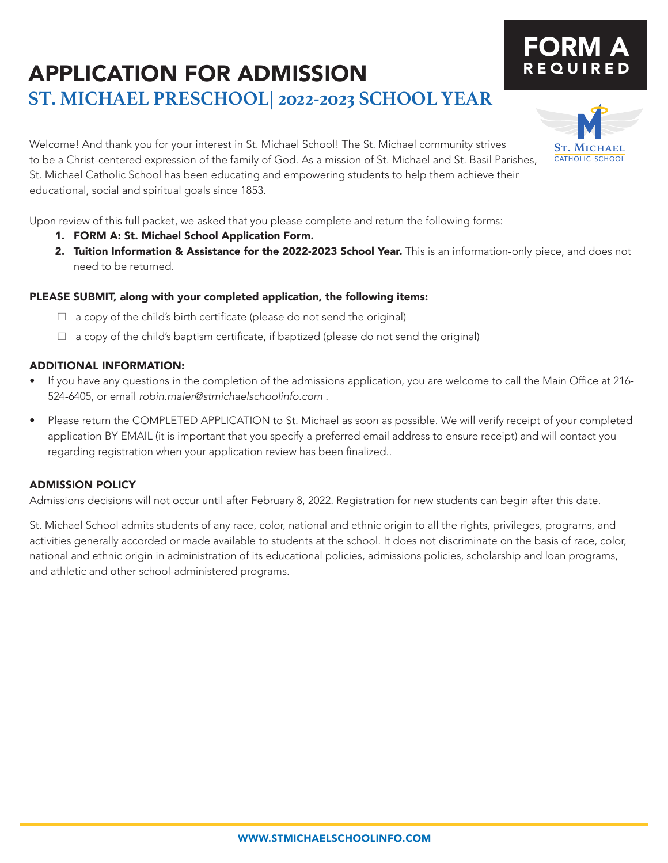### APPLICATION FOR ADMISSION **ST. MICHAEL PRESCHOOL| 2022-2023 SCHOOL YEAR**

Welcome! And thank you for your interest in St. Michael School! The St. Michael community strives to be a Christ-centered expression of the family of God. As a mission of St. Michael and St. Basil Parishes, St. Michael Catholic School has been educating and empowering students to help them achieve their educational, social and spiritual goals since 1853.

Upon review of this full packet, we asked that you please complete and return the following forms:

- 1. FORM A: St. Michael School Application Form.
- 2. Tuition Information & Assistance for the 2022-2023 School Year. This is an information-only piece, and does not need to be returned.

### PLEASE SUBMIT, along with your completed application, the following items:

- $\Box$  a copy of the child's birth certificate (please do not send the original)
- $\Box$  a copy of the child's baptism certificate, if baptized (please do not send the original)

### ADDITIONAL INFORMATION:

- If you have any questions in the completion of the admissions application, you are welcome to call the Main Office at 216- 524-6405, or email *robin.maier@stmichaelschoolinfo.com* .
- Please return the COMPLETED APPLICATION to St. Michael as soon as possible. We will verify receipt of your completed application BY EMAIL (it is important that you specify a preferred email address to ensure receipt) and will contact you regarding registration when your application review has been finalized..

### ADMISSION POLICY

Admissions decisions will not occur until after February 8, 2022. Registration for new students can begin after this date.

St. Michael School admits students of any race, color, national and ethnic origin to all the rights, privileges, programs, and activities generally accorded or made available to students at the school. It does not discriminate on the basis of race, color, national and ethnic origin in administration of its educational policies, admissions policies, scholarship and loan programs, and athletic and other school-administered programs.



# FORM A REQUIRED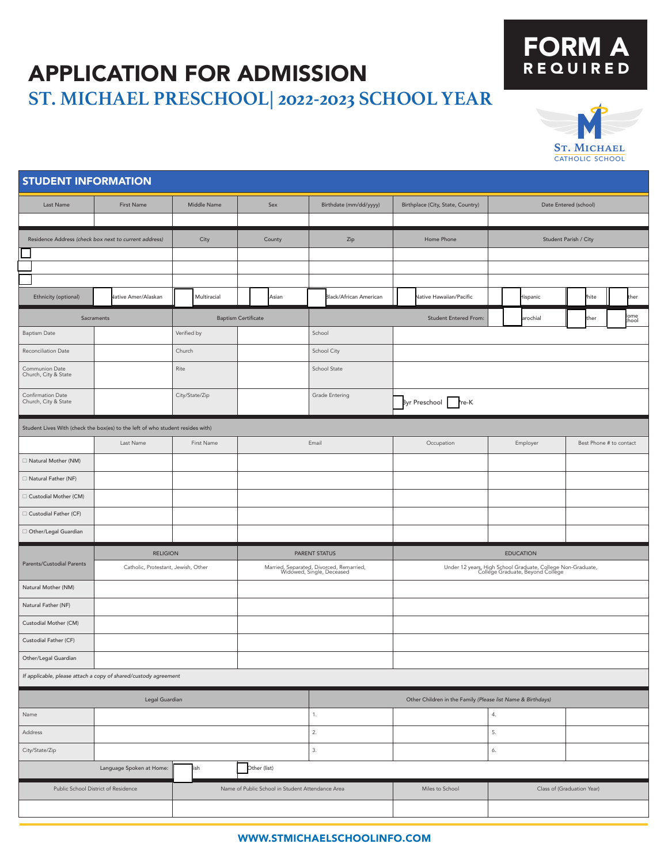## APPLICATION FOR ADMISSION **ST. MICHAEL PRESCHOOL| 2022-2023 SCHOOL YEAR**

## FORM A **REQUIRED**



| <b>STUDENT INFORMATION</b>                                                              |                     |                                     |                            |                                                                       |                                                            |                                                                                                 |                         |  |
|-----------------------------------------------------------------------------------------|---------------------|-------------------------------------|----------------------------|-----------------------------------------------------------------------|------------------------------------------------------------|-------------------------------------------------------------------------------------------------|-------------------------|--|
| Last Name                                                                               | <b>First Name</b>   |                                     | Middle Name<br>Sex         |                                                                       | Birthplace (City, State, Country)<br>Date Entered (school) |                                                                                                 |                         |  |
|                                                                                         |                     |                                     |                            |                                                                       |                                                            |                                                                                                 |                         |  |
| Residence Address (check box next to current address)                                   |                     | City                                | County                     | Zip                                                                   | Home Phone                                                 | Student Parish / City                                                                           |                         |  |
|                                                                                         |                     |                                     |                            |                                                                       |                                                            |                                                                                                 |                         |  |
|                                                                                         |                     |                                     |                            |                                                                       |                                                            |                                                                                                 |                         |  |
| Ethnicity (optional)                                                                    | Jative Amer/Alaskan | Multiracial                         | Asian                      | <b>Black/African American</b>                                         | Vative Hawaiian/Pacific                                    | lispanic                                                                                        | hite<br>ther            |  |
|                                                                                         | Sacraments          |                                     | <b>Baptism Certificate</b> |                                                                       | <b>Student Entered From:</b>                               | arochial                                                                                        | ome<br>:hool<br>ther    |  |
| <b>Baptism Date</b>                                                                     |                     | Verified by                         |                            | School                                                                |                                                            |                                                                                                 |                         |  |
| Reconciliation Date                                                                     |                     | Church                              |                            | School City                                                           |                                                            |                                                                                                 |                         |  |
| Communion Date<br>Church, City & State                                                  |                     | Rite                                |                            | School State                                                          |                                                            |                                                                                                 |                         |  |
| Confirmation Date<br>Church, City & State                                               |                     | City/State/Zip                      |                            | Grade Entering                                                        | Byr Preschool Pre-K                                        |                                                                                                 |                         |  |
| Student Lives With (check the box(es) to the left of who student resides with)          |                     |                                     |                            |                                                                       |                                                            |                                                                                                 |                         |  |
|                                                                                         | Last Name           | First Name                          |                            | Email                                                                 | Occupation                                                 | Employer                                                                                        | Best Phone # to contact |  |
| □ Natural Mother (NM)                                                                   |                     |                                     |                            |                                                                       |                                                            |                                                                                                 |                         |  |
| □ Natural Father (NF)                                                                   |                     |                                     |                            |                                                                       |                                                            |                                                                                                 |                         |  |
| □ Custodial Mother (CM)                                                                 |                     |                                     |                            |                                                                       |                                                            |                                                                                                 |                         |  |
| □ Custodial Father (CF)                                                                 |                     |                                     |                            |                                                                       |                                                            |                                                                                                 |                         |  |
| Other/Legal Guardian                                                                    |                     |                                     |                            |                                                                       |                                                            |                                                                                                 |                         |  |
|                                                                                         | <b>RELIGION</b>     |                                     |                            | PARENT STATUS                                                         |                                                            | <b>EDUCATION</b>                                                                                |                         |  |
| Parents/Custodial Parents                                                               |                     | Catholic, Protestant, Jewish, Other |                            | Married, Separated, Divorced, Remarried,<br>Widowed, Single, Deceased |                                                            | Under 12 years, High School Graduate, College Non-Graduate,<br>College Graduate, Beyond College |                         |  |
| Natural Mother (NM)                                                                     |                     |                                     |                            |                                                                       |                                                            |                                                                                                 |                         |  |
| Natural Father (NF)                                                                     |                     |                                     |                            |                                                                       |                                                            |                                                                                                 |                         |  |
| Custodial Mother (CM)                                                                   |                     |                                     |                            |                                                                       |                                                            |                                                                                                 |                         |  |
| Custodial Father (CF)                                                                   |                     |                                     |                            |                                                                       |                                                            |                                                                                                 |                         |  |
| Other/Legal Guardian                                                                    |                     |                                     |                            |                                                                       |                                                            |                                                                                                 |                         |  |
| If applicable, please attach a copy of shared/custody agreement                         |                     |                                     |                            |                                                                       |                                                            |                                                                                                 |                         |  |
| Legal Guardian                                                                          |                     |                                     |                            | Other Children in the Family (Please list Name & Birthdays)           |                                                            |                                                                                                 |                         |  |
| Name                                                                                    |                     |                                     |                            | 1.                                                                    |                                                            | 4.                                                                                              |                         |  |
| Address                                                                                 |                     |                                     | 2.                         |                                                                       | 5.                                                         |                                                                                                 |                         |  |
| City/State/Zip                                                                          |                     |                                     |                            | 3.                                                                    |                                                            | 6.                                                                                              |                         |  |
| ish<br>Other (list)<br>Language Spoken at Home:                                         |                     |                                     |                            |                                                                       |                                                            |                                                                                                 |                         |  |
| Public School District of Residence<br>Name of Public School in Student Attendance Area |                     |                                     |                            |                                                                       | Miles to School                                            | Class of (Graduation Year)                                                                      |                         |  |
|                                                                                         |                     |                                     |                            |                                                                       |                                                            |                                                                                                 |                         |  |